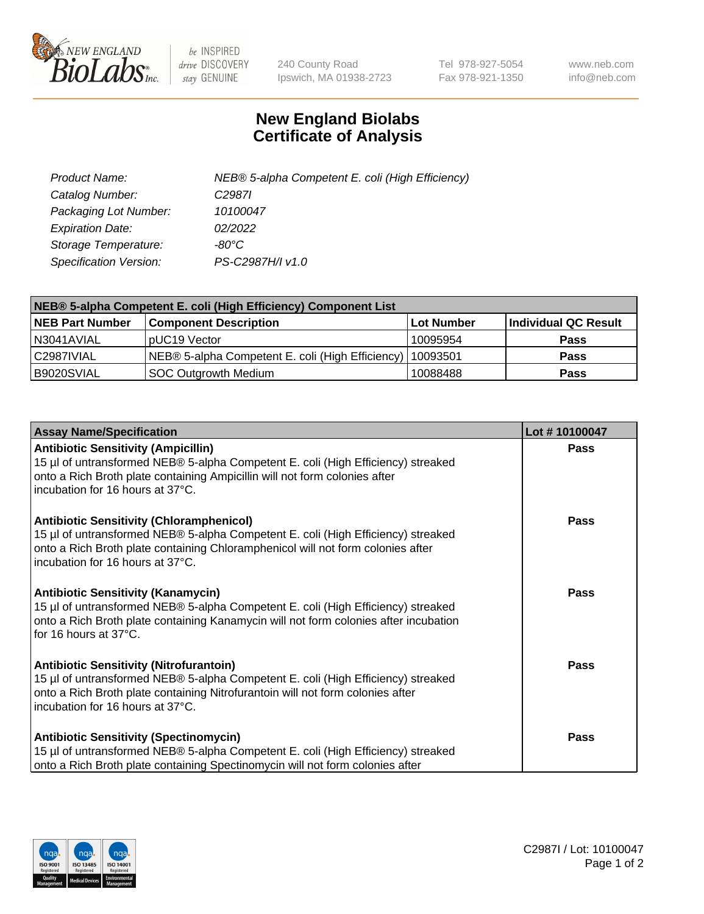

 $be$  INSPIRED drive DISCOVERY stay GENUINE

240 County Road Ipswich, MA 01938-2723 Tel 978-927-5054 Fax 978-921-1350 www.neb.com info@neb.com

## **New England Biolabs Certificate of Analysis**

| Product Name:           | NEB® 5-alpha Competent E. coli (High Efficiency) |
|-------------------------|--------------------------------------------------|
| Catalog Number:         | C <sub>2987</sub>                                |
| Packaging Lot Number:   | 10100047                                         |
| <b>Expiration Date:</b> | 02/2022                                          |
| Storage Temperature:    | -80°C.                                           |
| Specification Version:  | PS-C2987H/I v1.0                                 |

| NEB® 5-alpha Competent E. coli (High Efficiency) Component List |                                                             |                   |                      |  |
|-----------------------------------------------------------------|-------------------------------------------------------------|-------------------|----------------------|--|
| <b>NEB Part Number</b>                                          | <b>Component Description</b>                                | <b>Lot Number</b> | Individual QC Result |  |
| N3041AVIAL                                                      | pUC19 Vector                                                | 10095954          | <b>Pass</b>          |  |
| C2987IVIAL                                                      | NEB® 5-alpha Competent E. coli (High Efficiency)   10093501 |                   | <b>Pass</b>          |  |
| B9020SVIAL                                                      | SOC Outgrowth Medium                                        | 10088488          | <b>Pass</b>          |  |

| <b>Assay Name/Specification</b>                                                                                                                                                                                                                            | Lot #10100047 |
|------------------------------------------------------------------------------------------------------------------------------------------------------------------------------------------------------------------------------------------------------------|---------------|
| <b>Antibiotic Sensitivity (Ampicillin)</b><br>15 µl of untransformed NEB® 5-alpha Competent E. coli (High Efficiency) streaked<br>onto a Rich Broth plate containing Ampicillin will not form colonies after<br>incubation for 16 hours at 37°C.           | Pass          |
| <b>Antibiotic Sensitivity (Chloramphenicol)</b><br>15 µl of untransformed NEB® 5-alpha Competent E. coli (High Efficiency) streaked<br>onto a Rich Broth plate containing Chloramphenicol will not form colonies after<br>incubation for 16 hours at 37°C. | Pass          |
| Antibiotic Sensitivity (Kanamycin)<br>15 µl of untransformed NEB® 5-alpha Competent E. coli (High Efficiency) streaked<br>onto a Rich Broth plate containing Kanamycin will not form colonies after incubation<br>for 16 hours at 37°C.                    | Pass          |
| <b>Antibiotic Sensitivity (Nitrofurantoin)</b><br>15 µl of untransformed NEB® 5-alpha Competent E. coli (High Efficiency) streaked<br>onto a Rich Broth plate containing Nitrofurantoin will not form colonies after<br>incubation for 16 hours at 37°C.   | <b>Pass</b>   |
| <b>Antibiotic Sensitivity (Spectinomycin)</b><br>15 µl of untransformed NEB® 5-alpha Competent E. coli (High Efficiency) streaked<br>onto a Rich Broth plate containing Spectinomycin will not form colonies after                                         | Pass          |